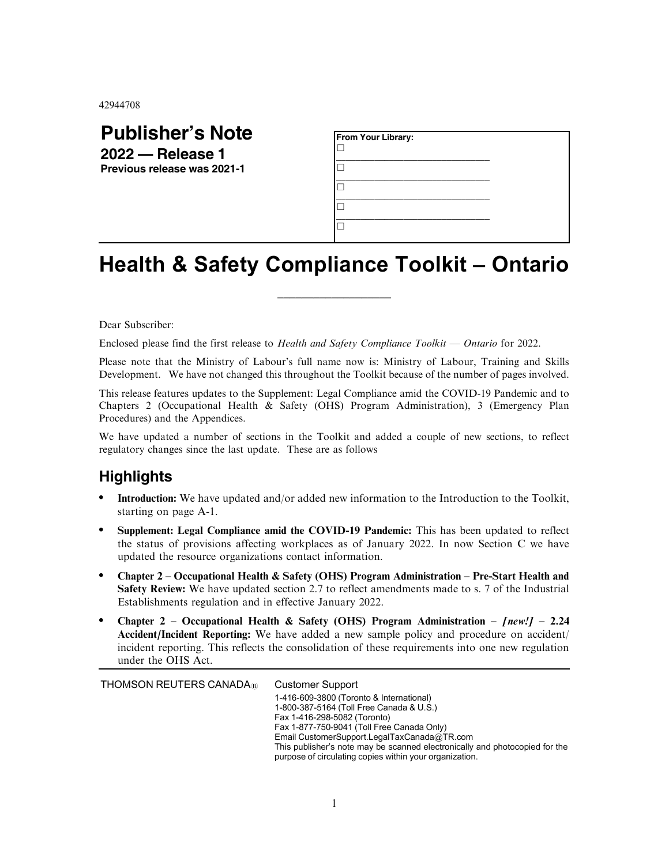42944708

## **Publisher's Note 2022 — Release 1**

**Previous release was 2021-1**

| From Your Library: |  |  |
|--------------------|--|--|
|                    |  |  |
|                    |  |  |
|                    |  |  |
|                    |  |  |

## Health & Safety Compliance Toolkit – Ontario

\_\_\_\_\_\_\_\_\_\_\_\_\_\_\_\_\_\_\_

Dear Subscriber:

Enclosed please find the first release to Health and Safety Compliance Toolkit — Ontario for 2022.

Please note that the Ministry of Labour's full name now is: Ministry of Labour, Training and Skills Development. We have not changed this throughout the Toolkit because of the number of pages involved.

This release features updates to the Supplement: Legal Compliance amid the COVID-19 Pandemic and to Chapters 2 (Occupational Health & Safety (OHS) Program Administration), 3 (Emergency Plan Procedures) and the Appendices.

We have updated a number of sections in the Toolkit and added a couple of new sections, to reflect regulatory changes since the last update. These are as follows

## **Highlights**

- . Introduction: We have updated and/or added new information to the Introduction to the Toolkit, starting on page A-1.
- . Supplement: Legal Compliance amid the COVID-19 Pandemic: This has been updated to reflect the status of provisions affecting workplaces as of January 2022. In now Section C we have updated the resource organizations contact information.
- . Chapter 2 Occupational Health & Safety (OHS) Program Administration Pre-Start Health and Safety Review: We have updated section 2.7 to reflect amendments made to s. 7 of the Industrial Establishments regulation and in effective January 2022.
- Chapter 2 Occupational Health & Safety (OHS) Program Administration  $[new!]$  2.24 Accident/Incident Reporting: We have added a new sample policy and procedure on accident/ incident reporting. This reflects the consolidation of these requirements into one new regulation under the OHS Act.

THOMSON REUTERS CANADA<sup>®</sup> Customer Support

1-416-609-3800 (Toronto & International) 1-800-387-5164 (Toll Free Canada & U.S.) Fax 1-416-298-5082 (Toronto) Fax 1-877-750-9041 (Toll Free Canada Only) Email CustomerSupport.LegalTaxCanada@TR.com This publisher's note may be scanned electronically and photocopied for the purpose of circulating copies within your organization.